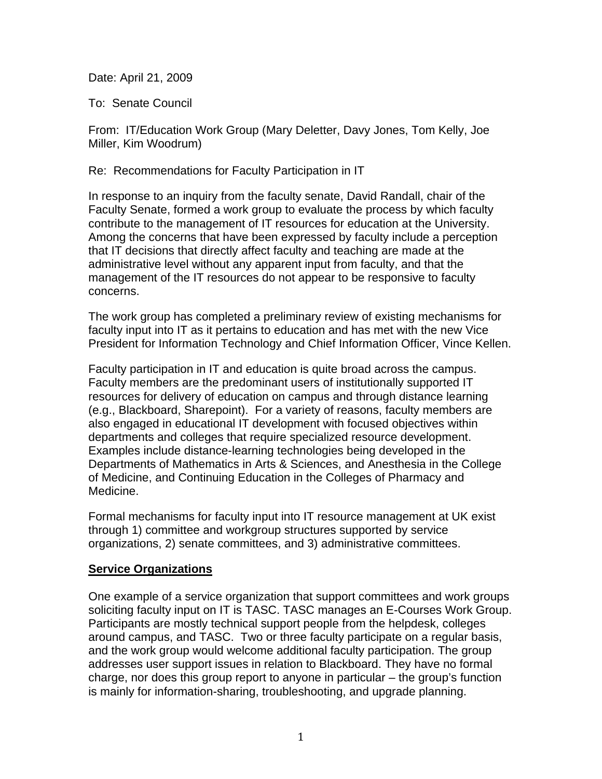Date: April 21, 2009

To: Senate Council

From: IT/Education Work Group (Mary Deletter, Davy Jones, Tom Kelly, Joe Miller, Kim Woodrum)

Re: Recommendations for Faculty Participation in IT

In response to an inquiry from the faculty senate, David Randall, chair of the Faculty Senate, formed a work group to evaluate the process by which faculty contribute to the management of IT resources for education at the University. Among the concerns that have been expressed by faculty include a perception that IT decisions that directly affect faculty and teaching are made at the administrative level without any apparent input from faculty, and that the management of the IT resources do not appear to be responsive to faculty concerns.

The work group has completed a preliminary review of existing mechanisms for faculty input into IT as it pertains to education and has met with the new Vice President for Information Technology and Chief Information Officer, Vince Kellen.

Faculty participation in IT and education is quite broad across the campus. Faculty members are the predominant users of institutionally supported IT resources for delivery of education on campus and through distance learning (e.g., Blackboard, Sharepoint). For a variety of reasons, faculty members are also engaged in educational IT development with focused objectives within departments and colleges that require specialized resource development. Examples include distance-learning technologies being developed in the Departments of Mathematics in Arts & Sciences, and Anesthesia in the College of Medicine, and Continuing Education in the Colleges of Pharmacy and Medicine.

Formal mechanisms for faculty input into IT resource management at UK exist through 1) committee and workgroup structures supported by service organizations, 2) senate committees, and 3) administrative committees.

## **Service Organizations**

One example of a service organization that support committees and work groups soliciting faculty input on IT is TASC. TASC manages an E-Courses Work Group. Participants are mostly technical support people from the helpdesk, colleges around campus, and TASC. Two or three faculty participate on a regular basis, and the work group would welcome additional faculty participation. The group addresses user support issues in relation to Blackboard. They have no formal charge, nor does this group report to anyone in particular – the group's function is mainly for information-sharing, troubleshooting, and upgrade planning.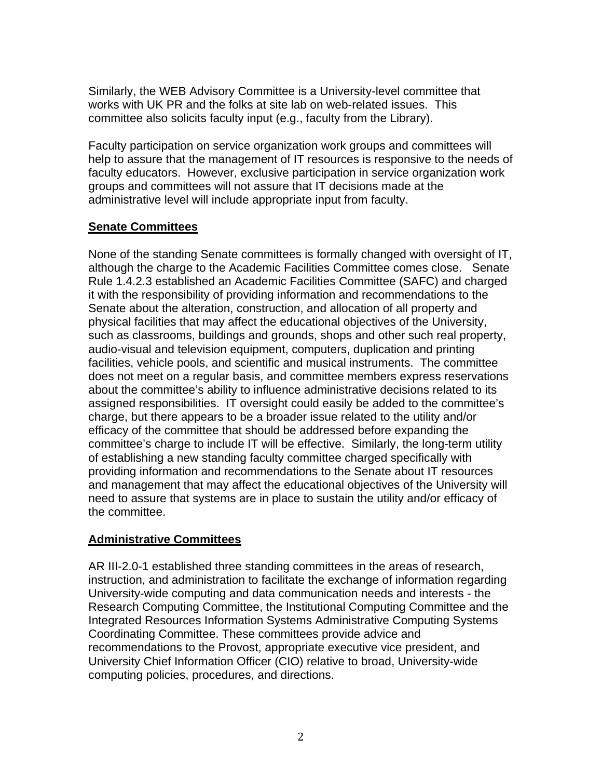Similarly, the WEB Advisory Committee is a University-level committee that works with UK PR and the folks at site lab on web-related issues. This committee also solicits faculty input (e.g., faculty from the Library).

Faculty participation on service organization work groups and committees will help to assure that the management of IT resources is responsive to the needs of faculty educators. However, exclusive participation in service organization work groups and committees will not assure that IT decisions made at the administrative level will include appropriate input from faculty.

# **Senate Committees**

None of the standing Senate committees is formally changed with oversight of IT, although the charge to the Academic Facilities Committee comes close. Senate Rule 1.4.2.3 established an Academic Facilities Committee (SAFC) and charged it with the responsibility of providing information and recommendations to the Senate about the alteration, construction, and allocation of all property and physical facilities that may affect the educational objectives of the University, such as classrooms, buildings and grounds, shops and other such real property, audio-visual and television equipment, computers, duplication and printing facilities, vehicle pools, and scientific and musical instruments. The committee does not meet on a regular basis, and committee members express reservations about the committee's ability to influence administrative decisions related to its assigned responsibilities. IT oversight could easily be added to the committee's charge, but there appears to be a broader issue related to the utility and/or efficacy of the committee that should be addressed before expanding the committee's charge to include IT will be effective. Similarly, the long-term utility of establishing a new standing faculty committee charged specifically with providing information and recommendations to the Senate about IT resources and management that may affect the educational objectives of the University will need to assure that systems are in place to sustain the utility and/or efficacy of the committee.

## **Administrative Committees**

AR III-2.0-1 established three standing committees in the areas of research, instruction, and administration to facilitate the exchange of information regarding University-wide computing and data communication needs and interests - the Research Computing Committee, the Institutional Computing Committee and the Integrated Resources Information Systems Administrative Computing Systems Coordinating Committee. These committees provide advice and recommendations to the Provost, appropriate executive vice president, and University Chief Information Officer (CIO) relative to broad, University-wide computing policies, procedures, and directions.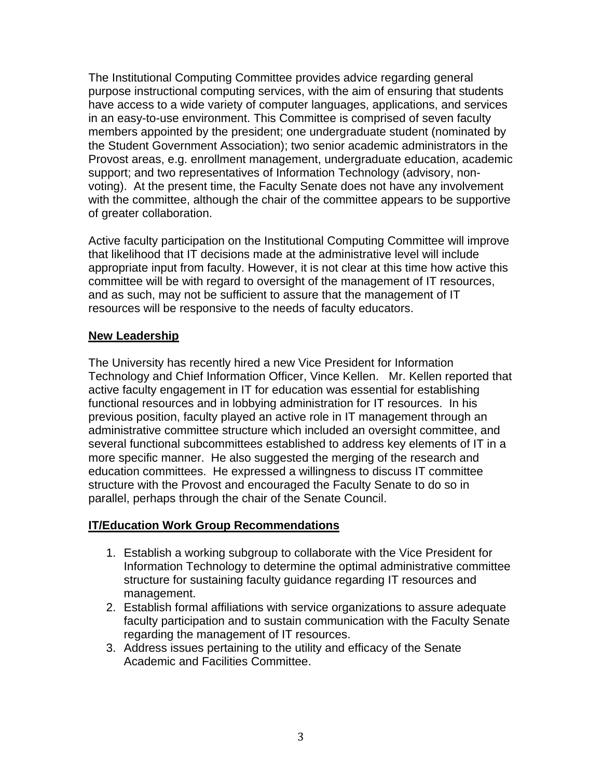The Institutional Computing Committee provides advice regarding general purpose instructional computing services, with the aim of ensuring that students have access to a wide variety of computer languages, applications, and services in an easy-to-use environment. This Committee is comprised of seven faculty members appointed by the president; one undergraduate student (nominated by the Student Government Association); two senior academic administrators in the Provost areas, e.g. enrollment management, undergraduate education, academic support; and two representatives of Information Technology (advisory, nonvoting). At the present time, the Faculty Senate does not have any involvement with the committee, although the chair of the committee appears to be supportive of greater collaboration.

Active faculty participation on the Institutional Computing Committee will improve that likelihood that IT decisions made at the administrative level will include appropriate input from faculty. However, it is not clear at this time how active this committee will be with regard to oversight of the management of IT resources, and as such, may not be sufficient to assure that the management of IT resources will be responsive to the needs of faculty educators.

## **New Leadership**

The University has recently hired a new Vice President for Information Technology and Chief Information Officer, Vince Kellen. Mr. Kellen reported that active faculty engagement in IT for education was essential for establishing functional resources and in lobbying administration for IT resources. In his previous position, faculty played an active role in IT management through an administrative committee structure which included an oversight committee, and several functional subcommittees established to address key elements of IT in a more specific manner. He also suggested the merging of the research and education committees. He expressed a willingness to discuss IT committee structure with the Provost and encouraged the Faculty Senate to do so in parallel, perhaps through the chair of the Senate Council.

## **IT/Education Work Group Recommendations**

- 1. Establish a working subgroup to collaborate with the Vice President for Information Technology to determine the optimal administrative committee structure for sustaining faculty guidance regarding IT resources and management.
- 2. Establish formal affiliations with service organizations to assure adequate faculty participation and to sustain communication with the Faculty Senate regarding the management of IT resources.
- 3. Address issues pertaining to the utility and efficacy of the Senate Academic and Facilities Committee.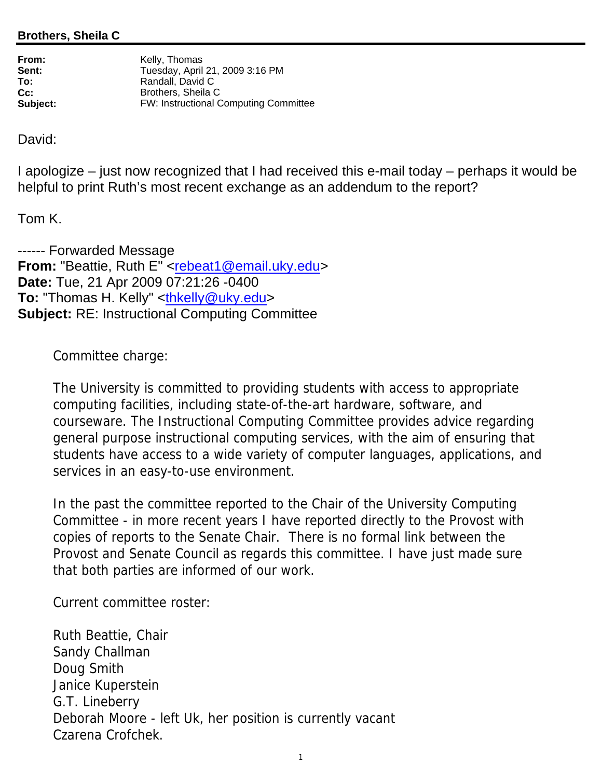## **Brothers, Sheila C**

| From:    | Kelly, Thomas                         |
|----------|---------------------------------------|
| Sent:    | Tuesday, April 21, 2009 3:16 PM       |
| To:      | Randall, David C                      |
| Cc:      | Brothers, Sheila C                    |
| Subject: | FW: Instructional Computing Committee |

David:

I apologize – just now recognized that I had received this e-mail today – perhaps it would be helpful to print Ruth's most recent exchange as an addendum to the report?

Tom K.

------ Forwarded Message From: "Beattie, Ruth E" <rebeat1@email.uky.edu> **Date:** Tue, 21 Apr 2009 07:21:26 -0400 **To:** "Thomas H. Kelly" <thkelly@uky.edu> **Subject:** RE: Instructional Computing Committee

Committee charge:

The University is committed to providing students with access to appropriate computing facilities, including state-of-the-art hardware, software, and courseware. The Instructional Computing Committee provides advice regarding general purpose instructional computing services, with the aim of ensuring that students have access to a wide variety of computer languages, applications, and services in an easy-to-use environment.

In the past the committee reported to the Chair of the University Computing Committee - in more recent years I have reported directly to the Provost with copies of reports to the Senate Chair. There is no formal link between the Provost and Senate Council as regards this committee. I have just made sure that both parties are informed of our work.

Current committee roster:

Ruth Beattie, Chair Sandy Challman Doug Smith Janice Kuperstein G.T. Lineberry Deborah Moore - left Uk, her position is currently vacant Czarena Crofchek.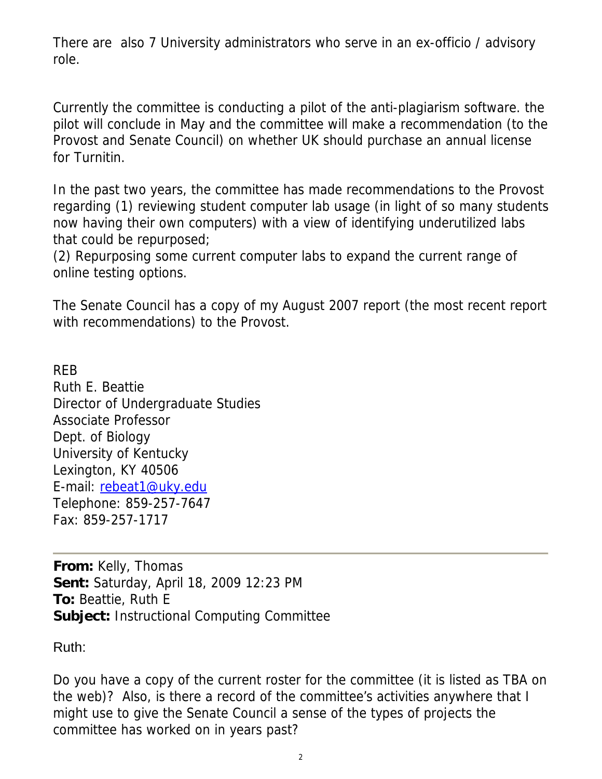There are also 7 University administrators who serve in an ex-officio / advisory role.

Currently the committee is conducting a pilot of the anti-plagiarism software. the pilot will conclude in May and the committee will make a recommendation (to the Provost and Senate Council) on whether UK should purchase an annual license for Turnitin.

In the past two years, the committee has made recommendations to the Provost regarding (1) reviewing student computer lab usage (in light of so many students now having their own computers) with a view of identifying underutilized labs that could be repurposed;

(2) Repurposing some current computer labs to expand the current range of online testing options.

The Senate Council has a copy of my August 2007 report (the most recent report with recommendations) to the Provost.

REB Ruth E. Beattie Director of Undergraduate Studies Associate Professor Dept. of Biology University of Kentucky Lexington, KY 40506 E-mail: rebeat1@uky.edu Telephone: 859-257-7647 Fax: 859-257-1717

**From:** Kelly, Thomas **Sent:** Saturday, April 18, 2009 12:23 PM **To:** Beattie, Ruth E **Subject:** Instructional Computing Committee

Ruth:

Do you have a copy of the current roster for the committee (it is listed as TBA on the web)? Also, is there a record of the committee's activities anywhere that I might use to give the Senate Council a sense of the types of projects the committee has worked on in years past?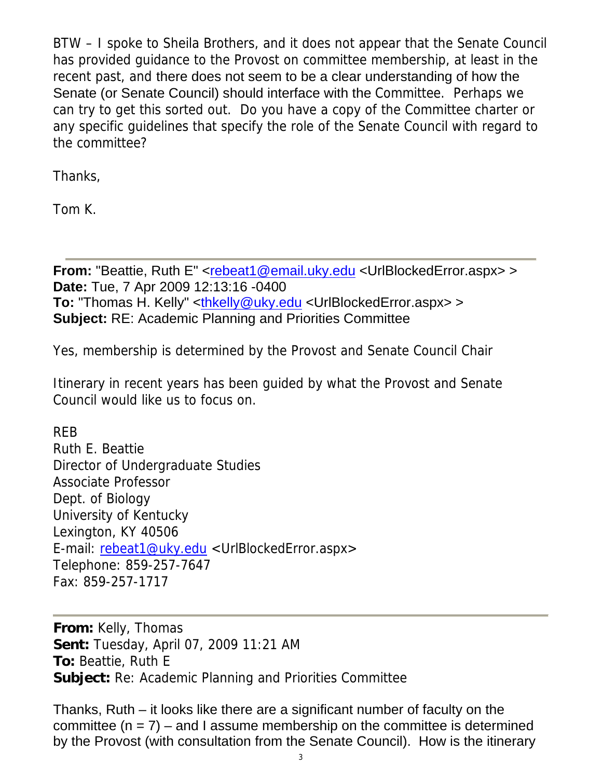BTW – I spoke to Sheila Brothers, and it does not appear that the Senate Council has provided guidance to the Provost on committee membership, at least in the recent past, and there does not seem to be a clear understanding of how the Senate (or Senate Council) should interface with the Committee. Perhaps we can try to get this sorted out. Do you have a copy of the Committee charter or any specific guidelines that specify the role of the Senate Council with regard to the committee?

Thanks,

Tom K.

**From:** "Beattie, Ruth E" <rebeat1@email.uky.edu <UrlBlockedError.aspx> > **Date:** Tue, 7 Apr 2009 12:13:16 -0400 **To:** "Thomas H. Kelly" <thkelly@uky.edu <UrlBlockedError.aspx> > **Subject:** RE: Academic Planning and Priorities Committee

Yes, membership is determined by the Provost and Senate Council Chair

Itinerary in recent years has been guided by what the Provost and Senate Council would like us to focus on.

REB Ruth E. Beattie Director of Undergraduate Studies Associate Professor Dept. of Biology University of Kentucky Lexington, KY 40506 E-mail: rebeat1@uky.edu <UrlBlockedError.aspx> Telephone: 859-257-7647 Fax: 859-257-1717

**From:** Kelly, Thomas **Sent:** Tuesday, April 07, 2009 11:21 AM **To:** Beattie, Ruth E **Subject:** Re: Academic Planning and Priorities Committee

Thanks, Ruth – it looks like there are a significant number of faculty on the committee  $(n = 7)$  – and I assume membership on the committee is determined by the Provost (with consultation from the Senate Council). How is the itinerary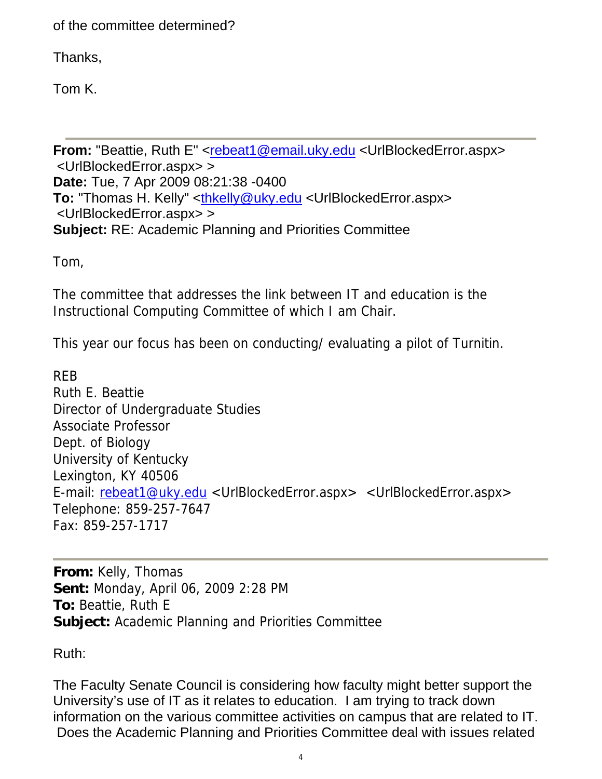of the committee determined?

Thanks,

Tom K.

**From:** "Beattie, Ruth E" <rebeat1@email.uky.edu <UrlBlockedError.aspx> <UrlBlockedError.aspx> > **Date:** Tue, 7 Apr 2009 08:21:38 -0400 **To:** "Thomas H. Kelly" <thkelly@uky.edu <UrlBlockedError.aspx> <UrlBlockedError.aspx> > **Subject:** RE: Academic Planning and Priorities Committee

Tom,

The committee that addresses the link between IT and education is the Instructional Computing Committee of which I am Chair.

This year our focus has been on conducting/ evaluating a pilot of Turnitin.

REB Ruth E. Beattie Director of Undergraduate Studies Associate Professor Dept. of Biology University of Kentucky Lexington, KY 40506 E-mail: rebeat1@uky.edu <UrlBlockedError.aspx> <UrlBlockedError.aspx> Telephone: 859-257-7647 Fax: 859-257-1717

**From:** Kelly, Thomas **Sent:** Monday, April 06, 2009 2:28 PM **To:** Beattie, Ruth E **Subject:** Academic Planning and Priorities Committee

Ruth:

The Faculty Senate Council is considering how faculty might better support the University's use of IT as it relates to education. I am trying to track down information on the various committee activities on campus that are related to IT. Does the Academic Planning and Priorities Committee deal with issues related